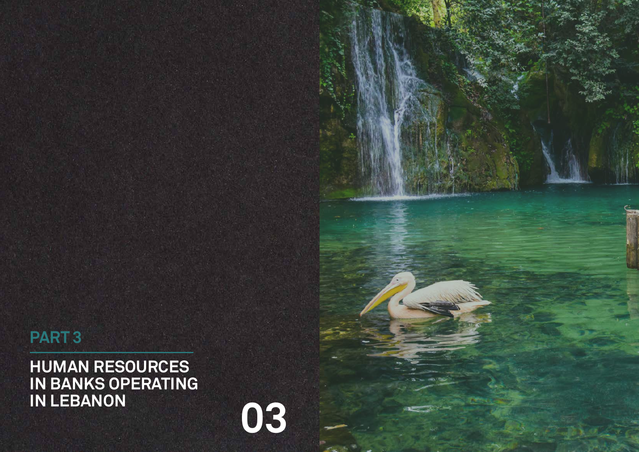**HUMAN RESOURCES IN BANKS OPERATING IN LEBANON**

# **PART 3**

**03**

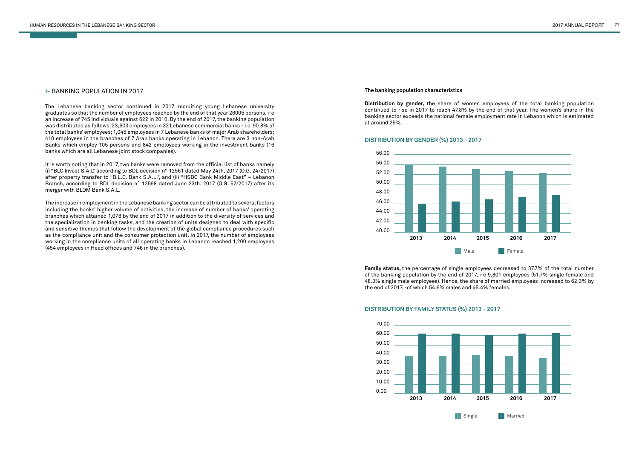### **I-** BANKING POPULATION IN 2017

The Lebanese banking sector continued in 2017 recruiting young Lebanese university graduates so that the number of employees reached by the end of that year 26005 persons, i-e an increase of 745 individuals against 622 in 2016. By the end of 2017, the banking population was distributed as follows: 23,603 employees in 32 Lebanese commercial banks - i.e. 90.8% of the total banks' employees; 1,045 employees in 7 Lebanese banks of major Arab shareholders; 410 employees in the branches of 7 Arab banks operating in Lebanon. There are 3 non-Arab Banks which employ 105 persons and 842 employees working in the investment banks (16 banks which are all Lebanese joint stock companies).

It is worth noting that in 2017, two banks were removed from the official list of banks namely (i) "BLC Invest S.A.L" according to BDL decision n° 12561 dated May 24th, 2017 (O.G. 24/2017) after property transfer to "B.L.C. Bank S.A.L.", and (ii) "HSBC Bank Middle East" – Lebanon Branch, according to BDL decision n° 12598 dated June 23th, 2017 (O.G. 57/2017) after its merger with BLOM Bank S.A.L.

The increase in employment in the Lebanese banking sector can be attributed to several factors including the banks' higher volume of activities, the increase of number of banks' operating branches which attained 1,078 by the end of 2017 in addition to the diversity of services and the specialization in banking tasks, and the creation of units designed to deal with specific and sensitive themes that follow the development of the global compliance procedures such as the compliance unit and the consumer protection unit. In 2017, the number of employees working in the compliance units of all operating banks in Lebanon reached 1,200 employees (454 employees in Head offices and 746 in the branches).

#### **The banking population characteristics**

**Distribution by gender,** the share of women employees of the total banking population continued to rise in 2017 to reach 47.8% by the end of that year. The women's share in the banking sector exceeds the national female employment rate in Lebanon which is estimated at around 25%.

**Family status,** the percentage of single employees decreased to 37.7% of the total number of the banking population by the end of 2017, i-e 9,801 employees (51.7% single female and 48.3% single male employees). Hence, the share of married employees increased to 62.3% by the end of 2017, -of which 54.6% males and 45.4% females.





#### **DISTRIBUTION BY GENDER (%) 2013 - 2017**

# **DISTRIBUTION BY FAMILY STATUS (%) 2013 - 2017**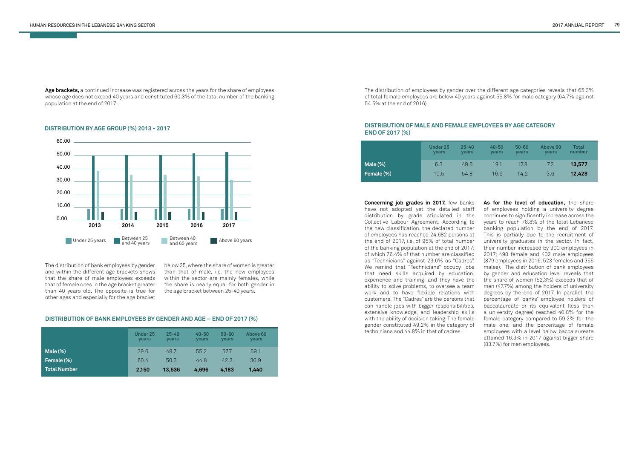Age brackets, a continued increase was registered across the years for the share of employees whose age does not exceed 40 years and constituted 60.3% of the total number of the banking population at the end of 2017.

The distribution of bank employees by gender and within the different age brackets shows that the share of male employees exceeds that of female ones in the age bracket greater than 40 years old. The opposite is true for other ages and especially for the age bracket below 25, where the share of women is greater than that of male, i.e. the new employees within the sector are mainly females, while the share is nearly equal for both gender in the age bracket between 25-40 years.



|              | <b>Under 25</b><br><b>vears</b> | $25 - 40$<br><b>vears</b> | $40 - 50$<br><b>vears</b> | $50 - 60$<br><b>vears</b> | Above 60<br>years |
|--------------|---------------------------------|---------------------------|---------------------------|---------------------------|-------------------|
| Male $(\%)$  | 39.6                            | 49.7                      | 55.2                      | 57.7                      | 69.1              |
| Female (%)   | 60.4                            | 50.3                      | 44.8                      | 42.3                      | 30.9              |
| Total Number | 2,150                           | 13,536                    | 4,696                     | 4.183                     | 1,440             |

#### **DISTRIBUTION BY AGE GROUP (%) 2013 - 2017**

#### **DISTRIBUTION OF BANK EMPLOYEES BY GENDER AND AGE – END OF 2017 (%)**

The distribution of employees by gender over the different age categories reveals that 65.3% of total female employees are below 40 years against 55.8% for male category (64.7% against 54.5% at the end of 2016).

**Concerning job grades in 2017,** few banks have not adopted yet the detailed staff distribution by grade stipulated in the Collective Labour Agreement. According to the new classification, the declared number of employees has reached 24,682 persons at the end of 2017, i.e. of 95% of total number of the banking population at the end of 2017; of which 76.4% of that number are classified as "Technicians" against 23.6% as "Cadres". We remind that "Technicians" occupy jobs that need skills acquired by education, experience and training; and they have the ability to solve problems, to oversee a team work and to have flexible relations with customers. The "Cadres" are the persons that can handle jobs with bigger responsibilities, extensive knowledge, and leadership skills with the ability of decision taking. The female gender constituted 49.2% in the category of technicians and 44.8% in that of cadres.

**As for the level of education,** the share of employees holding a university degree continues to significantly increase across the years to reach 78.8% of the total Lebanese banking population by the end of 2017. This is partially due to the recruitment of university graduates in the sector. In fact, their number increased by 900 employees in 2017; 498 female and 402 male employees (879 employees in 2016: 523 females and 356 males). The distribution of bank employees by gender and education level reveals that the share of women (52.3%) exceeds that of men (47.7%) among the holders of university degrees by the end of 2017. In parallel, the percentage of banks' employee holders of baccalaureate or its equivalent (less than a university degree) reached 40.8% for the female category compared to 59.2% for the male one, and the percentage of female employees with a level below baccalaureate attained 16.3% in 2017 against bigger share (83.7%) for men employees.

|            | Under 25<br>vears | $25 - 40$<br>vears | $40 - 50$<br>vears | $50 - 60$<br><b>vears</b> | Above 60<br>vears | Total<br>number |
|------------|-------------------|--------------------|--------------------|---------------------------|-------------------|-----------------|
| $Male$ (%) | 6.3               | 49.5               | 19.1               | 17.8                      | 7.3               | 13,577          |
| Female (%) | 10.5              | 54.8               | 16.9               | 14.2                      | 3.6               | 12.428          |

# **DISTRIBUTION OF MALE AND FEMALE EMPLOYEES BY AGE CATEGORY END OF 2017 (%)**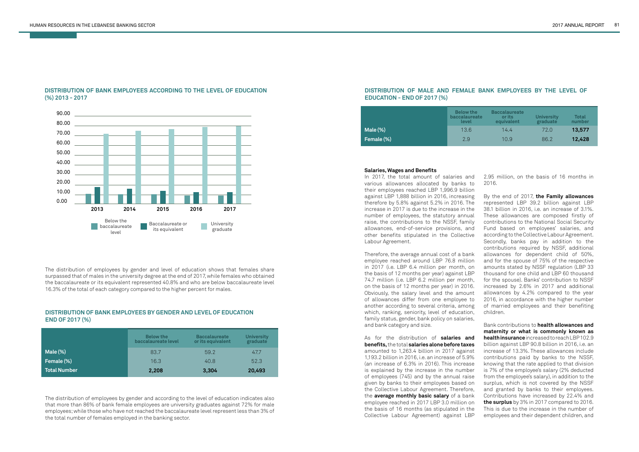

# **DISTRIBUTION OF BANK EMPLOYEES ACCORDING TO THE LEVEL OF EDUCATION (%) 2013 - 2017**

The distribution of employees by gender and according to the level of education indicates also that more than 86% of bank female employees are university graduates against 72% for male employees; while those who have not reached the baccalaureate level represent less than 3% of the total number of females employed in the banking sector.

The distribution of employees by gender and level of education shows that females share surpassed that of males in the university degree at the end of 2017, while females who obtained the baccalaureate or its equivalent represented 40.8% and who are below baccalaureate level 16.3% of the total of each category compared to the higher percent for males.

# **DISTRIBUTION OF BANK EMPLOYEES BY GENDER AND LEVEL OF EDUCATION END OF 2017 (%)**

|              | <b>Below the</b><br>baccalaureate level | <b>Baccalaureate</b><br>or its equivalent | <b>University</b><br>graduate |
|--------------|-----------------------------------------|-------------------------------------------|-------------------------------|
| Male (%)     | 83.7                                    | 59.2                                      | 47.7                          |
| Female (%)   | 16.3                                    | 40.8                                      | 52.3                          |
| Total Number | 2,208                                   | 3,304                                     | 20,493                        |

# **DISTRIBUTION OF MALE AND FEMALE BANK EMPLOYEES BY THE LEVEL OF EDUCATION - END OF 2017 (%)**

|             | <b>Below the</b><br><b>baccalaureate</b><br>level | <b>Baccalaureate</b><br>or its<br>equivalent | <b>University</b><br>graduate | Total<br>number |
|-------------|---------------------------------------------------|----------------------------------------------|-------------------------------|-----------------|
| Male $(\%)$ | 13.6                                              | 14.4                                         | 72.0                          | 13,577          |
| Female (%)  | 2.9                                               | 10.9                                         | 86.2                          | 12,428          |

#### **Salaries, Wages and Benefits**

In 2017, the total amount of salaries and various allowances allocated by banks to their employees reached LBP 1,996.9 billion against LBP 1,888 billion in 2016, increasing therefore by 5.8% against 5.2% in 2016. The increase in 2017 is due to the increase in the number of employees, the statutory annual raise, the contributions to the NSSF, family allowances, end-of-service provisions, and other benefits stipulated in the Collective Labour Agreement.

Therefore, the average annual cost of a bank employee reached around LBP 76.8 million in 2017 (i.e. LBP 6.4 million per month, on the basis of 12 months per year) against LBP 74.7 million (i.e. LBP 6.2 million per month, on the basis of 12 months per year) in 2016. Obviously, the salary level and the amount of allowances differ from one employee to another according to several criteria, among which, ranking, seniority, level of education, family status, gender, bank policy on salaries, and bank category and size.

As for the distribution of **salaries and benefits,** the total **salaries alone before taxes**  amounted to 1,263.4 billion in 2017 against 1,193.2 billion in 2016, i.e. an increase of 5.9% (an increase of 6.3% in 2016). This increase is explained by the increase in the number of employees (745) and by the annual raise given by banks to their employees based on the Collective Labour Agreement. Therefore, the **average monthly basic salary** of a bank employee reached in 2017 LBP 3.0 million on the basis of 16 months (as stipulated in the Collective Labour Agreement) against LBP

2.95 million, on the basis of 16 months in 2016.

By the end of 2017, **the Family allowances**  represented LBP 39.2 billion against LBP 38.1 billion in 2016, i.e. an increase of 3.1%. These allowances are composed firstly of contributions to the National Social Security Fund based on employees' salaries, and according to the Collective Labour Agreement. Secondly, banks pay in addition to the contributions required by NSSF, additional allowances for dependent child of 50%, and for the spouse of 75% of the respective amounts stated by NSSF regulation (LBP 33 thousand for one child and LBP 60 thousand for the spouse). Banks' contribution to NSSF increased by 2.6% in 2017 and additional allowances by 4.2% compared to the year 2016, in accordance with the higher number of married employees and their benefiting children.

Bank contributions to **health allowances and maternity or what is commonly known as health insurance** increased to reach LBP 102.9 billion against LBP 90.8 billion in 2016, i.e. an increase of 13.3%. These allowances include contributions paid by banks to the NSSF, knowing that the rate applied to that division is 7% of the employee's salary (2% deducted from the employee's salary), in addition to the surplus, which is not covered by the NSSF and granted by banks to their employees. Contributions have increased by 22.4% and **the surplus** by 3% in 2017 compared to 2016. This is due to the increase in the number of employees and their dependent children, and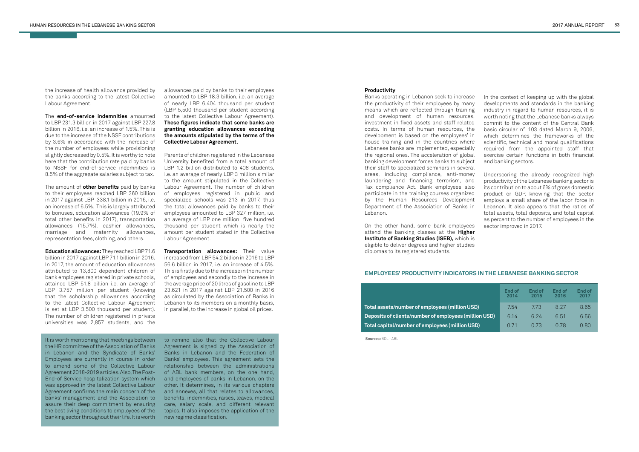the increase of health allowance provided by the banks according to the latest Collective Labour Agreement.

The **end-of-service indemnities** amounted to LBP 231.3 billion in 2017 against LBP 227.8 billion in 2016, i.e. an increase of 1.5%. This is due to the increase of the NSSF contributions by 3.6% in accordance with the increase of the number of employees while provisioning slightly decreased by 0.5%. It is worthy to note here that the contribution rate paid by banks to NSSF for end-of-service indemnities is 8.5% of the aggregate salaries subject to tax.

The amount of **other benefits** paid by banks to their employees reached LBP 360 billion in 2017 against LBP 338.1 billion in 2016, i.e. an increase of 6.5%. This is largely attributed to bonuses, education allowances (19.9% of total other benefits in 2017), transportation allowances (15.7%), cashier allowances, marriage and maternity allowances, representation fees, clothing, and others.

**Education allowances:** They reached LBP 71.6 billion in 2017 against LBP 71.1 billion in 2016. In 2017, the amount of education allowances attributed to 13,800 dependent children of bank employees registered in private schools, attained LBP 51.8 billion i.e. an average of LBP 3.757 million per student (knowing that the scholarship allowances according to the latest Collective Labour Agreement is set at LBP 3,500 thousand per student). The number of children registered in private universities was 2,857 students, and the

allowances paid by banks to their employees amounted to LBP 18.3 billion, i.e. an average of nearly LBP 6,404 thousand per student (LBP 5,500 thousand per student according to the latest Collective Labour Agreement). **These figures indicate that some banks are granting education allowances exceeding the amounts stipulated by the terms of the Collective Labour Agreement.** 

Parents of children registered in the Lebanese University benefited from a total amount of LBP 1.2 billion distributed to 408 students. i.e. an average of nearly LBP 3 million similar to the amount stipulated in the Collective Labour Agreement. The number of children of employees registered in public and specialized schools was 213 in 2017, thus the total allowances paid by banks to their employees amounted to LBP 327 million, i.e. an average of LBP one million five hundred thousand per student which is nearly the amount per student stated in the Collective Labour Agreement.

**Transportation allowances:** Their value increased from LBP 54.2 billion in 2016 to LBP 56.6 billion in 2017, i.e. an increase of 4.5%. This is firstly due to the increase in the number of employees and secondly to the increase in the average price of 20 litres of gasoline to LBP 23,621 in 2017 against LBP 21,500 in 2016 as circulated by the Association of Banks in Lebanon to its members on a monthly basis, in parallel, to the increase in global oil prices.

It is worth mentioning that meetings between the HR committee of the Association of Banks in Lebanon and the Syndicate of Banks' Employees are currently in course in order to amend some of the Collective Labour Agreement 2018-2019 articles. Also, The Post-End-of Service hospitalization system which was approved in the latest Collective Labour Agreement confirms the main concern of the banks' management and the Association to assure their deep commitment by ensuring the best living conditions to employees of the banking sector throughout their life. It is worth

to remind also that the Collective Labour Agreement is signed by the Association of Banks in Lebanon and the Federation of Banks' employees. This agreement sets the relationship between the administrations of ABL bank members, on the one hand, and employees of banks in Lebanon, on the other. It determines, in its various chapters and annexes, all that relates to allowances, benefits, indemnities, raises, leaves, medical care, salary scale, and different relevant topics. It also imposes the application of the new regime classification.

#### **Productivity**

Banks operating in Lebanon seek to increase the productivity of their employees by many means which are reflected through training and development of human resources, investment in fixed assets and staff related costs. In terms of human resources, the development is based on the employees' in house training and in the countries where Lebanese banks are implemented, especially the regional ones. The acceleration of global banking development forces banks to subject their staff to specialized seminars in several areas, including compliance, anti-money laundering and financing terrorism, and Tax compliance Act. Bank employees also participate in the training courses organized by the Human Resources Development Department of the Association of Banks in Lebanon.

On the other hand, some bank employees attend the banking classes at the **Higher Institute of Banking Studies (ISEB),** which is eligible to deliver degrees and higher studies diplomas to its registered students.

In the context of keeping up with the global developments and standards in the banking industry in regard to human resources, it is worth noting that the Lebanese banks always commit to the content of the Central Bank basic circular n° 103 dated March 9, 2006, which determines the frameworks of the scientific, technical and moral qualifications required from the appointed staff that exercise certain functions in both financial and banking sectors.

Underscoring the already recognized high productivity of the Lebanese banking sector is its contribution to about 6% of gross domestic product or GDP, knowing that the sector employs a small share of the labor force in Lebanon. It also appears that the ratios of total assets, total deposits, and total capital as percent to the number of employees in the sector improved in 2017.

# **EMPLOYEES' PRODUCTIVITY INDICATORS IN THE LEBANESE BANKING SECTOR**

|      | End of<br>2014 | End of<br>2015 | End of<br>2016 | End of<br>2017 |
|------|----------------|----------------|----------------|----------------|
|      | 7.54           | 7.73           | 8.27           | 8.65           |
| USD) | 6.14           | 6.24           | 6.51           | 6.56           |
|      | 0.71           | 0.73           | 0.78           | 0.80           |

**Total assets/number of employees (million USD) Deposits of clients/number of employees (million Total capital/number of employees (million USD)**

 **Sources:** BDL –ABL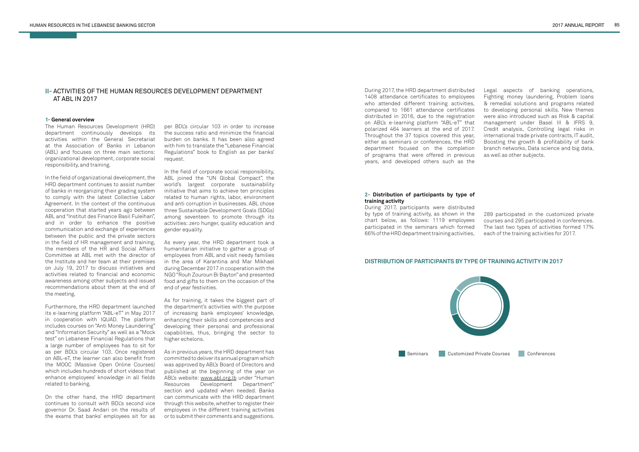# **II-** ACTIVITIES OF THE HUMAN RESOURCES DEVELOPMENT DEPARTMENT AT ABL IN 2017

#### **1- General overview**

The Human Resources Development (HRD) department continuously develops its activities within the General Secretariat at the Association of Banks in Lebanon (ABL) and focuses on three main sections: organizational development, corporate social responsibility, and training.

In the field of organizational development, the HRD department continues to assist number of banks in reorganizing their grading system to comply with the latest Collective Labor Agreement. In the context of the continuous cooperation that started years ago between ABL and "Institut des Finance Basil Fuleihan", and in order to enhance the positive communication and exchange of experiences between the public and the private sectors in the field of HR management and training, the members of the HR and Social Affairs Committee at ABL met with the director of the Institute and her team at their premises on July 19, 2017 to discuss initiatives and activities related to financial and economic awareness among other subjects and issued recommendations about them at the end of the meeting.

Furthermore, the HRD department launched its e-learning platform "ABL-eT" in May 2017 in cooperation with IQUAD. The platform includes courses on "Anti Money Laundering" and "Information Security" as well as a "Mock test" on Lebanese Financial Regulations that a large number of employees has to sit for as per BDL's circular 103. Once registered on ABL-eT, the learner can also benefit from the MOOC (Massive Open Online Courses) which includes hundreds of short videos that enhance employees' knowledge in all fields related to banking.

On the other hand, the HRD department continues to consult with BDL's second vice governor Dr. Saad Andari on the results of the exams that banks' employees sit for as

per BDL's circular 103 in order to increase the success ratio and minimize the financial burden on banks. It has been also agreed with him to translate the "Lebanese Financial Regulations" book to English as per banks' request.

In the field of corporate social responsibility, ABL joined the "UN Global Compact", the world's largest corporate sustainability initiative that aims to achieve ten principles related to human rights, labor, environment and anti corruption in businesses. ABL chose three Sustainable Development Goals (SDGs) among seventeen to promote through its activities: zero hunger, quality education and gender equality.

As every year, the HRD department took a humanitarian initiative to gather a group of employees from ABL and visit needy families in the area of Karantina and Mar Mikhael during December 2017 in cooperation with the NGO "Rouh Zouroun Bi Bayton" and presented food and gifts to them on the occasion of the end of year festivities.

As for training, it takes the biggest part of the department's activities with the purpose of increasing bank employees' knowledge, enhancing their skills and competencies and developing their personal and professional capabilities, thus, bringing the sector to higher echelons.

As in previous years, the HRD department has committed to deliver its annual program which was approved by ABL's Board of Directors and published at the beginning of the year on ABL's website: www.abl.org.lb under "Human Resources Development Department" section and updated when needed. Banks can communicate with the HRD department through this website, whether to register their employees in the different training activities or to submit their comments and suggestions.

#### **2- Distribution of participants by type of training activity**

During 2017, participants were distributed by type of training activity, as shown in the chart below, as follows: 1119 employees participated in the seminars which formed 66% of the HRD department training activities,

289 participated in the customized private courses and 295 participated in conferences. The last two types of activities formed 17% each of the training activities for 2017.

During 2017, the HRD department distributed 1408 attendance certificates to employees who attended different training activities, compared to 1661 attendance certificates distributed in 2016, due to the registration on ABL's e-learning platform "ABL-eT" that polarized 464 learners at the end of 2017. Throughout the 37 topics covered this year, either as seminars or conferences, the HRD department focused on the completion of programs that were offered in previous years, and developed others such as the

Legal aspects of banking operations, Fighting money laundering, Problem loans & remedial solutions and programs related to developing personal skills. New themes were also introduced such as Risk & capital management under Basel III & IFRS 9, Credit analysis, Controlling legal risks in international trade private contracts, IT audit, Boosting the growth & profitability of bank branch networks, Data science and big data, as well as other subjects.

# **DISTRIBUTION OF PARTICIPANTS BY TYPE OF TRAINING ACTIVITY IN 2017**

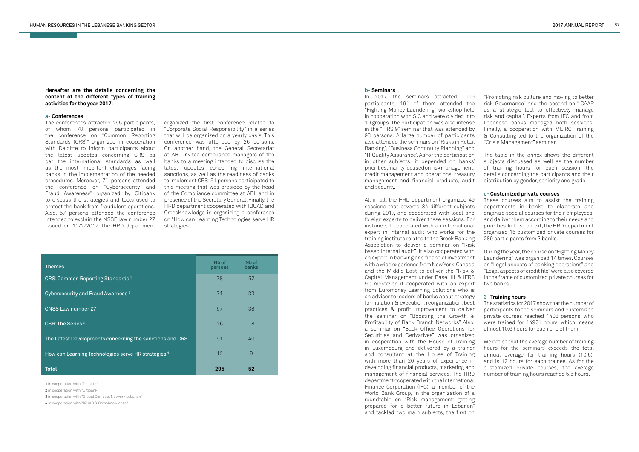#### **Hereafter are the details concerning the content of the different types of training activities for the year 2017:**

#### **a- Conferences**

The conferences attracted 295 participants, of whom 78 persons participated in the conference on "Common Reporting Standards (CRS)" organized in cooperation with Deloitte to inform participants about the latest updates concerning CRS as per the international standards as well as the most important challenges facing banks in the implementation of the needed procedures. Moreover, 71 persons attended the conference on "Cybersecurity and Fraud Awareness" organized by Citibank to discuss the strategies and tools used to protect the bank from fraudulent operations. Also, 57 persons attended the conference intended to explain the NSSF law number 27 issued on 10/2/2017. The HRD department

organized the first conference related to "Corporate Social Responsibility" in a series that will be organized on a yearly basis. This conference was attended by 26 persons. On another hand, the General Secretariat at ABL invited compliance managers of the banks to a meeting intended to discuss the latest updates concerning international sanctions, as well as the readiness of banks to implement CRS; 51 persons participated to this meeting that was presided by the head of the Compliance committee at ABL and in presence of the Secretary General. Finally, the HRD department cooperated with IQUAD and CrossKnowledge in organizing a conference on "How can Learning Technologies serve HR strategies".

**1** in cooperation with "Deloitte"

**2** in cooperation with "Citibank"

**3** in cooperation with "Global Compact Network Lebanon"

**4** in cooperation with "IQUAD & CrossKnowledge"

| <b>Themes</b>                                            | Nb of<br>persons | Nb of<br><b>banks</b> |  |
|----------------------------------------------------------|------------------|-----------------------|--|
| CRS: Common Reporting Standards <sup>1</sup>             | 78               | 52                    |  |
| Cybersecurity and Fraud Awarness <sup>2</sup>            | 71               | 33                    |  |
| CNSS Law number 27                                       | 57               | 38                    |  |
| CSR: The Series <sup>3</sup>                             | 26               | 18                    |  |
| The Latest Developments concerning the sanctions and CRS | 51               | 40                    |  |
| How can Learning Technologies serve HR strategies 4      | 12               | $\overline{9}$        |  |
| <b>Total</b>                                             | 295              | 52                    |  |

#### **b- Seminars**

In 2017, the seminars attracted 1119 participants, 191 of them attended the "Fighting Money Laundering" workshop held in cooperation with SIC and were divided into 10 groups. The participation was also intense in the "IFRS 9" seminar that was attended by 93 persons. A large number of participants also attended the seminars on "Risks in Retail Banking", "Business Continuity Planning" and "IT Quality Assurance". As for the participation in other subjects, it depended on banks' priorities, mainly focused on risk management, credit management and operations, treasury management and financial products, audit and security.

All in all, the HRD department organized 49 sessions that covered 34 different subjects during 2017, and cooperated with local and foreign experts to deliver these sessions. For instance, it cooperated with an international expert in internal audit who works for the training institute related to the Greek Banking Association to deliver a seminar on "Risk based internal audit"; it also cooperated with an expert in banking and financial investment with a wide experience from New York, Canada and the Middle East to deliver the "Risk & Capital Management under Basel III & IFRS 9"; moreover, it cooperated with an expert from Euromoney Learning Solutions who is an adviser to leaders of banks about strategy formulation & execution, reorganization, best practices & profit improvement to deliver the seminar on "Boosting the Growth & Profitability of Bank Branch Networks". Also, a seminar on "Back Office Operations for Securities and Derivatives" was organized in cooperation with the House of Training in Luxembourg and delivered by a trainer and consultant at the House of Training with more than 20 years of experience in developing financial products, marketing and management of financial services. The HRD department cooperated with the International Finance Corporation (IFC), a member of the World Bank Group, in the organization of a roundtable on "Risk management: getting prepared for a better future in Lebanon" and tackled two main subjects, the first on

"Promoting risk culture and moving to better risk Governance" and the second on "ICAAP as a strategic tool to effectively manage risk and capital". Experts from IFC and from Lebanese banks managed both sessions. Finally, a cooperation with MEIRC Training & Consulting led to the organization of the "Crisis Management" seminar.

The table in the annex shows the different subjects discussed as well as the number of training hours for each session, the details concerning the participants and their distribution by gender, seniority and grade.

#### **c- Customized private courses**

These courses aim to assist the training departments in banks to elaborate and organize special courses for their employees, and deliver them according to their needs and priorities. In this context, the HRD department organized 16 customized private courses for 289 participants from 3 banks.

During the year, the course on "Fighting Money Laundering" was organized 14 times. Courses on "Legal aspects of banking operations" and "Legal aspects of credit file" were also covered in the frame of customized private courses for two banks.

#### **3- Training hours**

The statistics for 2017 show that the number of participants to the seminars and customized private courses reached 1408 persons, who were trained for 14921 hours, which means almost 10.6 hours for each one of them.

We notice that the average number of training hours for the seminars exceeds the total annual average for training hours (10.6), and is 12 hours for each trainee. As for the customized private courses, the average number of training hours reached 5.5 hours.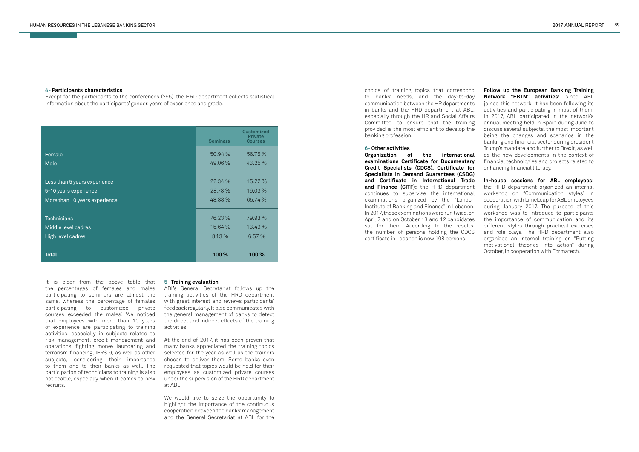#### **4- Participants' characteristics**

Except for the participants to the conferences (295), the HRD department collects statistical information about the participants' gender, years of experience and grade.

|                               | <b>Seminars</b> | <b>Customized</b><br><b>Private</b><br><b>Courses</b> |
|-------------------------------|-----------------|-------------------------------------------------------|
| Female                        | 50.94 %         | 56.75 %                                               |
| Male                          | 49.06 %         | 43.25 %                                               |
| Less than 5 years experience  | 22.34%          | $15.22\%$                                             |
| 5-10 years experience         | 28.78 %         | 19.03 %                                               |
| More than 10 years experience | 48.88%          | 65.74 %                                               |
| <b>Technicians</b>            | 76.23 %         | 79.93 %                                               |
| Middle level cadres           | 15.64 %         | 13.49 %                                               |
| High level cadres             | 8.13 %          | 6.57%                                                 |
| Total                         | 100 %           | 100 %                                                 |

It is clear from the above table that the percentages of females and males participating to seminars are almost the same, whereas the percentage of females participating to customized private courses exceeded the males'. We noticed that employees with more than 10 years of experience are participating to training activities, especially in subjects related to risk management, credit management and operations, fighting money laundering and terrorism financing, IFRS 9, as well as other subjects, considering their importance to them and to their banks as well. The participation of technicians to training is also noticeable, especially when it comes to new recruits.

#### **5- Training evaluation**

ABL's General Secretariat follows up the training activities of the HRD department with great interest and reviews participants' feedback regularly. It also communicates with the general management of banks to detect the direct and indirect effects of the training activities.

At the end of 2017, it has been proven that many banks appreciated the training topics selected for the year as well as the trainers chosen to deliver them. Some banks even requested that topics would be held for their employees as customized private courses under the supervision of the HRD department at ABL.

We would like to seize the opportunity to highlight the importance of the continuous cooperation between the banks' management and the General Secretariat at ABL for the choice of training topics that correspond to banks' needs, and the day-to-day communication between the HR departments in banks and the HRD department at ABL, especially through the HR and Social Affairs Committee, to ensure that the training provided is the most efficient to develop the banking profession.

#### **6- Other activities**

**Organization of the international examinations Certificate for Documentary Credit Specialists (CDCS), Certificate for Specialists in Demand Guarantees (CSDG) and Certificate in International Trade and Finance (CITF):** the HRD department continues to supervise the international examinations organized by the "London Institute of Banking and Finance" in Lebanon. In 2017, these examinations were run twice, on April 7 and on October 13 and 12 candidates sat for them. According to the results, the number of persons holding the CDCS certificate in Lebanon is now 108 persons.

**Follow up the European Banking Training Network "EBTN" activities:** since ABL joined this network, it has been following its activities and participating in most of them. In 2017, ABL participated in the network's annual meeting held in Spain during June to discuss several subjects, the most important being the changes and scenarios in the banking and financial sector during president Trump's mandate and further to Brexit, as well as the new developments in the context of financial technologies and projects related to enhancing financial literacy.

**In-house sessions for ABL employees:**  the HRD department organized an internal workshop on "Communication styles" in cooperation with LimeLeap for ABL employees during January 2017. The purpose of this workshop was to introduce to participants the importance of communication and its different styles through practical exercises and role plays. The HRD department also organized an internal training on "Putting motivational theories into action" during October, in cooperation with Formatech.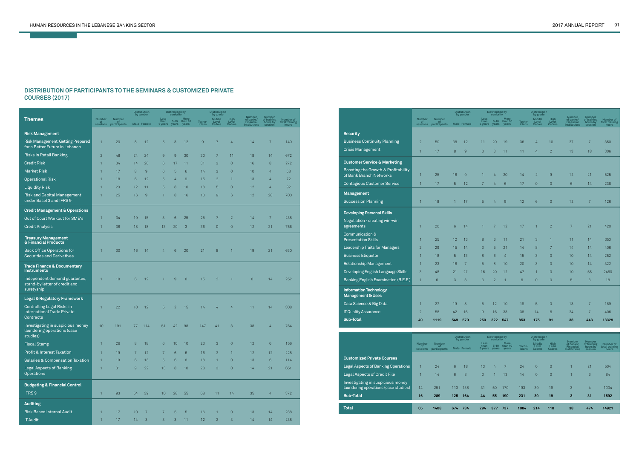the control of the control of

# **DISTRIBUTION OF PARTICIPANTS TO THE SEMINARS & CUSTOMIZED PRIVATE COURSES (2017)**

|                                                                                      |                                  |                              |                | <b>Distribution</b><br>by gender |                           | <b>Distribution by</b><br>seniority |                          |                  | <b>Distribution</b><br>by grade |                                |                                                                |                                              |                                      |
|--------------------------------------------------------------------------------------|----------------------------------|------------------------------|----------------|----------------------------------|---------------------------|-------------------------------------|--------------------------|------------------|---------------------------------|--------------------------------|----------------------------------------------------------------|----------------------------------------------|--------------------------------------|
| <b>Themes</b>                                                                        | <b>Number</b><br>-of<br>sessions | Number<br>of<br>participants |                | Male Female                      | Less<br>than<br>5 years   | $5 - 10$<br>years                   | More<br>than 10<br>years | Techn-<br>icians | Middle<br>Level<br>Cadres       | <b>High</b><br>Level<br>Cadres | Number<br>of banks/<br><b>Financial</b><br><b>Institutions</b> | Number<br>of training<br>hours by<br>session | Number of<br>total training<br>hours |
| <b>Risk Management</b>                                                               |                                  |                              |                |                                  |                           |                                     |                          |                  |                                 |                                |                                                                |                                              |                                      |
| <b>Risk Management: Getting Prepared</b><br>for a Better Future in Lebanon           | $\mathbf{1}$                     | 20                           | 8              | 12                               | 5                         | 3                                   | 12                       | 9                | $\overline{7}$                  | 4                              | 14                                                             | 7                                            | 140                                  |
| <b>Risks in Retail Banking</b>                                                       | $\overline{2}$                   | 48                           | 24             | 24                               | 9                         | 9                                   | 30                       | 30               | 7                               | 11                             | 18                                                             | 14                                           | 672                                  |
| <b>Credit Risk</b>                                                                   | $\mathbf{1}$                     | 34                           | 14             | 20                               | 6                         | 17                                  | 11                       | 31               | 3                               | $\overline{0}$                 | 16                                                             | 8                                            | 272                                  |
| <b>Market Risk</b>                                                                   | $\mathbf{1}$                     | 17                           | 8              | $\overline{9}$                   | 6                         | 5                                   | 6                        | 14               | 3                               | $\overline{0}$                 | 10                                                             | 4                                            | 68                                   |
| <b>Operational Risk</b>                                                              | $\mathbf{1}$                     | 18                           | 6              | 12                               | 5                         | 4                                   | $\overline{9}$           | 15               | $\overline{2}$                  | $\mathbf{1}$                   | 13                                                             | 4                                            | 72                                   |
| <b>Liquidity Risk</b>                                                                | 1                                | 23                           | 12             | 11                               | 5                         | 8                                   | 10                       | 18               | 5                               | $\overline{0}$                 | 12                                                             | 4                                            | 92                                   |
| <b>Risk and Capital Management</b><br>under Basel 3 and IFRS 9                       | 1                                | 25                           | 16             | $\overline{9}$                   | 1                         | 8                                   | 16                       | 10               | 9                               | 6                              | 12                                                             | 28                                           | 700                                  |
| <b>Credit Management &amp; Operations</b>                                            |                                  |                              |                |                                  |                           |                                     |                          |                  |                                 |                                |                                                                |                                              |                                      |
| Out of Court Workout for SME's                                                       | $\mathbf{1}$                     | 34                           | 19             | 15                               | 3                         | $6\phantom{1}6$                     | 25                       | 25               | 7                               | $\overline{2}$                 | 14                                                             | 7                                            | 238                                  |
| <b>Credit Analysis</b>                                                               | $\mathbf{1}$                     | 36                           | 18             | 18                               | 13                        | 20                                  | 3                        | 36               | $\overline{0}$                  | $\overline{0}$                 | 12                                                             | 21                                           | 756                                  |
| <b>Treasury Management</b><br>& Financial Products                                   |                                  |                              |                |                                  |                           |                                     |                          |                  |                                 |                                |                                                                |                                              |                                      |
| <b>Back Office Operations for</b><br><b>Securities and Derivatives</b>               | 1                                | 30                           | 16             | 14                               | 4                         | $6\phantom{1}6$                     | 20                       | 21               | 8                               | $\mathbf{1}$                   | 19                                                             | 21                                           | 630                                  |
| <b>Trade Finance &amp; Documentary</b><br><b>Instruments</b>                         |                                  |                              |                |                                  |                           |                                     |                          |                  |                                 |                                |                                                                |                                              |                                      |
| Independent demand guarantee,<br>stand-by letter of credit and<br>suretyship         | $\mathbf{1}$                     | 18                           | 6              | 12                               | $\mathbf{1}$              | 9                                   | 8                        | 15               | $\mathbf{2}$                    | $\mathbf{1}$                   | 8                                                              | 14                                           | 252                                  |
| Legal & Regulatory Framework                                                         |                                  |                              |                |                                  |                           |                                     |                          |                  |                                 |                                |                                                                |                                              |                                      |
| <b>Controlling Legal Risks in</b><br><b>International Trade Private</b><br>Contracts | $\mathbf{1}$                     | 22                           | 10             | 12                               | 5                         | $\overline{2}$                      | 15                       | 14               | 4                               | 4                              | 11                                                             | 14                                           | 308                                  |
| Investigating in suspicious money<br>laundering operations (case<br>studies)         | 10 <sup>1</sup>                  | 191                          | 77             | 114                              | 51                        | 42                                  | 98                       | 147              | 41                              | 3                              | 38                                                             | 4                                            | 764                                  |
| <b>Fiscal Stamp</b>                                                                  | $\mathbf{1}$                     | 26                           | 8              | 18                               | 6                         | 10                                  | 10                       | 23               | 3                               | $\overline{0}$                 | 12                                                             | 6                                            | 156                                  |
| Profit & Interest Taxation                                                           | $\mathbf{1}$                     | 19                           | $\overline{7}$ | 12                               | $\overline{7}$            | $\,$ 6 $\,$                         | $\,6$                    | 16               | $\overline{2}$                  | $\mathbf{1}$                   | 12                                                             | 12                                           | 228                                  |
| <b>Salaries &amp; Compensation Taxation</b>                                          | $\mathbf{1}$                     | 19                           | $6\,$          | 13                               | 5                         | $6\phantom{1}$                      | $\,8\,$                  | 18               | $\overline{1}$                  | $\overline{0}$                 | 13                                                             | $\,6$                                        | 114                                  |
| <b>Legal Aspects of Banking</b><br><b>Operations</b>                                 | $\mathbf{1}$                     | 31                           | $\hbox{9}$     | 22                               | 13                        | $\,8\,$                             | $10$                     | 28               | $\ensuremath{\mathsf{3}}$       | $\mathsf{O}\xspace$            | 14                                                             | 21                                           | 651                                  |
| <b>Budgeting &amp; Financial Control</b>                                             |                                  |                              |                |                                  |                           |                                     |                          |                  |                                 |                                |                                                                |                                              |                                      |
| IFRS <sub>9</sub>                                                                    | $\mathbf{1}$                     | 93                           | 54             | 39                               | 10                        | 28                                  | 55                       | 68               | 11                              | 14                             | 35                                                             | $\overline{4}$                               | 372                                  |
| <b>Auditing</b>                                                                      |                                  |                              |                |                                  |                           |                                     |                          |                  |                                 |                                |                                                                |                                              |                                      |
| <b>Risk Based Internal Audit</b>                                                     | $\mathbf{1}$                     | 17                           | 10             | $\overline{7}$                   | $\overline{7}$            | 5                                   | 5                        | 16               | $\mathbf{1}$                    | $\theta$                       | 13                                                             | 14                                           | 238                                  |
| <b>IT Audit</b>                                                                      | $\mathbf{1}$                     | 17                           | 14             | $\sqrt{3}$                       | $\ensuremath{\mathsf{3}}$ | 3                                   | 11                       | 12               | $\mathbf{2}$                    | $\ensuremath{\mathsf{3}}$      | 14                                                             | 14                                           | 238                                  |

|                                                                           | <b>Number</b><br>of<br>sessions | <b>Number</b><br>of<br>participants |     | <b>Distribution</b><br>by gender<br>Male Female | Less<br>than<br>5 years | <b>Distribution by</b><br>seniority<br>$5 - 10$<br>years | <b>More</b><br>than 10<br>years | Techn-<br>icians | <b>Distribution</b><br>by grade<br><b>Middle</b><br>Level<br><b>Cadres</b> | <b>High</b><br>Level<br>Cadres | <b>Number</b><br>of banks/<br><b>Financial</b><br><b>Institutions</b> | Number<br>of training<br>hours by<br>session | Number of<br>total training<br>hours |
|---------------------------------------------------------------------------|---------------------------------|-------------------------------------|-----|-------------------------------------------------|-------------------------|----------------------------------------------------------|---------------------------------|------------------|----------------------------------------------------------------------------|--------------------------------|-----------------------------------------------------------------------|----------------------------------------------|--------------------------------------|
| <b>Customized Private Courses</b>                                         |                                 |                                     |     |                                                 |                         |                                                          |                                 |                  |                                                                            |                                |                                                                       |                                              |                                      |
| <b>Legal Aspects of Banking Operations</b>                                |                                 | 24                                  | 6   | 18                                              | 13                      | 4                                                        | $\overline{7}$                  | 24               | $\overline{0}$                                                             | $\overline{0}$                 |                                                                       | 21                                           | 504                                  |
| Legal Aspects of Credit File                                              |                                 | 14                                  | 6   | 8                                               | $\mathbf{0}$            |                                                          | 13                              | 14               | $\overline{0}$                                                             | $\mathbf{0}$                   |                                                                       | 6                                            | 84                                   |
| Investigating in suspicious money<br>laundering operations (case studies) | 14                              | 251                                 | 113 | 138                                             | 31                      | 50                                                       | 170                             | 193              | 39                                                                         | 19                             | 3                                                                     | 4                                            | 1004                                 |
| Sub-Total                                                                 | 16                              | 289                                 | 125 | 164                                             | 44                      | 55                                                       | 190                             | 231              | 39                                                                         | 19                             | 3                                                                     | 31                                           | 1592                                 |
| <b>Total</b>                                                              | 65                              | 1408                                | 674 | 734                                             | 294                     | 377                                                      | 737                             | 1084             | 214                                                                        | 110                            | 38                                                                    | 474                                          | 14921                                |

|                                                                |                                 |                                            |              | <b>Distribution</b><br>by gender |                         | <b>Distribution by</b><br>seniority |                          |                  | <b>Distribution</b><br>by grade  |                                |                                                         |                                              |                                      |
|----------------------------------------------------------------|---------------------------------|--------------------------------------------|--------------|----------------------------------|-------------------------|-------------------------------------|--------------------------|------------------|----------------------------------|--------------------------------|---------------------------------------------------------|----------------------------------------------|--------------------------------------|
|                                                                | <b>Number</b><br>0t<br>sessions | Number<br>σ<br>participants                |              | Male Female                      | Less<br>than<br>5 years | $5-10$<br>years                     | More<br>than 10<br>years | Techn-<br>icians | Middle<br>Level<br>Cadres        | <b>High</b><br>Level<br>Cadres | Number<br>of banks/<br><b>Financial</b><br>Institutions | Number<br>of training<br>hours by<br>session | Number of<br>total training<br>hours |
| <b>Security</b>                                                |                                 |                                            |              |                                  |                         |                                     |                          |                  |                                  |                                |                                                         |                                              |                                      |
| <b>Business Continuity Planning</b>                            | $\overline{2}$                  | 50                                         | 38           | 12                               | 11                      | 20                                  | 19                       | 36               | 4                                | 10                             | 27                                                      | $7\overline{ }$                              | 350                                  |
| <b>Crisis Management</b>                                       | $\mathbf{1}$                    | 17                                         | 8            | 9                                | 3                       | 3                                   | 11                       | 11               | 4                                | $\overline{2}$                 | 13                                                      | 18                                           | 306                                  |
| <b>Customer Service &amp; Marketing</b>                        |                                 |                                            |              |                                  |                         |                                     |                          |                  |                                  |                                |                                                         |                                              |                                      |
| Boosting the Growth & Profitability<br>of Bank Branch Networks | $\mathbf{1}$                    | 25                                         | 16           | 9                                | $\mathbf{1}$            | 4                                   | 20                       | 14               | $\overline{2}$                   | $\overline{9}$                 | 12                                                      | 21                                           | 525                                  |
| <b>Contagious Customer Service</b>                             | $\overline{1}$                  | 17                                         | 5            | 12                               | $\overline{7}$          | $\overline{4}$                      | 6                        | 17               | $\overline{0}$                   | $\overline{0}$                 | $6\overline{6}$                                         | 14                                           | 238                                  |
| Management                                                     |                                 |                                            |              |                                  |                         |                                     |                          |                  |                                  |                                |                                                         |                                              |                                      |
| <b>Succession Planning</b>                                     | $\mathbf{1}$                    | 18                                         | $\mathbf{1}$ | 17                               | 5                       | 4                                   | 9                        | 12               | 6                                | $\mathbf{0}$                   | 12                                                      | $7\overline{ }$                              | 126                                  |
| <b>Developing Personal Skills</b>                              |                                 |                                            |              |                                  |                         |                                     |                          |                  |                                  |                                |                                                         |                                              |                                      |
| Negotiation - creating win-win<br>agreements                   | $\mathbf{1}$                    | 20                                         | 6            | 14                               | $\mathbf{1}$            | $\overline{7}$                      | 12                       | 17               | $\mathbf{1}$                     | $\overline{2}$                 | $\overline{7}$                                          | 21                                           | 420                                  |
| Communication &<br><b>Presentation Skills</b>                  | $\mathbf{1}$                    | 25                                         | 12           | 13                               | 8                       | 6                                   | 11                       | 21               | 3                                | $\mathbf{1}$                   | 11                                                      | 14                                           | 350                                  |
| Leadership Traits for Managers                                 | $\overline{2}$                  | 29                                         | 15           | 14                               | 3                       | 5                                   | 21                       | 14               | 8                                | $\overline{7}$                 | 14                                                      | 14                                           | 406                                  |
| <b>Business Etiquette</b>                                      | $\mathbf{1}$                    | 18                                         | 5            | 13                               | 8                       | $6\phantom{1}$                      | 4                        | 15               | 3                                | $\overline{0}$                 | 10                                                      | 14                                           | 252                                  |
| <b>Relationship Management</b>                                 | $\mathbf{1}$                    | 23                                         | 16           | 7                                | 5                       | 8                                   | 10                       | 20               | 3                                | $\overline{0}$                 | 10                                                      | 14                                           | 322                                  |
| Developing English Language Skills                             | 3                               | 48                                         | 21           | 27                               | 16                      | 20                                  | 12                       | 47               | $\mathbf{1}$                     | $\overline{0}$                 | 10                                                      | 55                                           | 2460                                 |
| Banking English Examination (B.E.E.)                           | $\mathbf{1}$                    | 6                                          | 3            | 3                                | 3                       | $\overline{2}$                      | $\mathbf{1}$             | 6                | $\overline{0}$                   | $\overline{0}$                 | 5                                                       | 3                                            | 18                                   |
| <b>Information Technology</b><br><b>Management &amp; Uses</b>  |                                 |                                            |              |                                  |                         |                                     |                          |                  |                                  |                                |                                                         |                                              |                                      |
| Data Science & Big Data                                        | $\mathbf{1}$                    | 27                                         | 19           | 8                                | 5                       | 12                                  | 10                       | 19               | 5                                | 3                              | 13                                                      | $7\overline{ }$                              | 189                                  |
| <b>IT Quality Assurance</b>                                    | $\overline{2}$                  | 58                                         | 42           | 16                               | 9                       | 16                                  | 33                       | 38               | 14                               | 6                              | 24                                                      | $7\overline{ }$                              | 406                                  |
| Sub-Total                                                      | 49                              | 1119                                       | 549          | 570                              | 250                     | 322                                 | 547                      | 853              | 175                              | 91                             | 38                                                      | 443                                          | 13329                                |
|                                                                |                                 |                                            |              | <b>Distribution</b><br>by gender |                         | <b>Distribution by</b><br>seniority |                          |                  | <b>Distribution</b><br>by grade  |                                |                                                         |                                              |                                      |
|                                                                | <b>Number</b><br>of<br>sessions | <b>Number</b><br><b>of</b><br>participants |              | Male Female                      | Less<br>than<br>5 years | $5 - 10$<br>years                   | More<br>than 10<br>years | Techn-<br>icians | <b>Middle</b><br>Level<br>Cadres | <b>High</b><br>Level<br>Cadres | Number<br>of banks/<br>Financial<br><b>Institutions</b> | Number<br>of training<br>hours by<br>session | Number of<br>total training<br>hours |
| <b>Customized Private Courses</b>                              |                                 |                                            |              |                                  |                         |                                     |                          |                  |                                  |                                |                                                         |                                              |                                      |